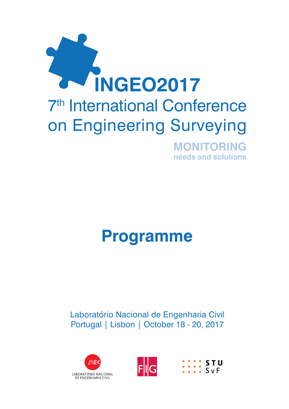

# **Programme**

## Laboratório Nacional de Engenharia Civil Portugal | Lisbon | October 18 - 20, 2017





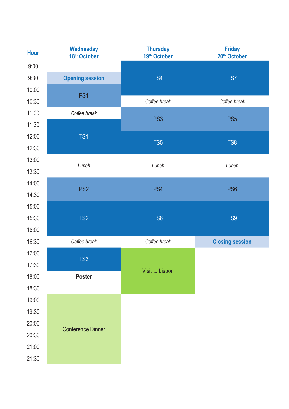| Hour  | <b>Wednesday</b><br>18th October | <b>Thursday</b><br>19th October | <b>Friday</b><br>20 <sup>th</sup> October |
|-------|----------------------------------|---------------------------------|-------------------------------------------|
| 9:00  |                                  |                                 |                                           |
| 9:30  | <b>Opening session</b>           | TS4                             | TS7                                       |
| 10:00 | PS <sub>1</sub>                  |                                 |                                           |
| 10:30 |                                  | Coffee break                    | Coffee break                              |
| 11:00 | Coffee break                     | PS <sub>3</sub>                 | PS <sub>5</sub>                           |
| 11:30 |                                  |                                 |                                           |
| 12:00 | TS1                              | TS <sub>5</sub>                 | TS8                                       |
| 12:30 |                                  |                                 |                                           |
| 13:00 | Lunch                            | Lunch                           | Lunch                                     |
| 13:30 |                                  |                                 |                                           |
| 14:00 | PS <sub>2</sub>                  | PS4                             | PS6                                       |
| 14:30 |                                  |                                 |                                           |
| 15:00 |                                  |                                 |                                           |
| 15:30 | TS <sub>2</sub>                  | TS <sub>6</sub>                 | TS9                                       |
| 16:00 |                                  |                                 |                                           |
| 16:30 | Coffee break                     | Coffee break                    | <b>Closing session</b>                    |
| 17:00 | TS3                              |                                 |                                           |
| 17:30 |                                  | Visit to Lisbon                 |                                           |
| 18:00 | Poster                           |                                 |                                           |
| 18:30 |                                  |                                 |                                           |
| 19:00 |                                  |                                 |                                           |
| 19:30 |                                  |                                 |                                           |
| 20:00 | <b>Conference Dinner</b>         |                                 |                                           |
| 20:30 |                                  |                                 |                                           |
| 21:00 |                                  |                                 |                                           |
| 21:30 |                                  |                                 |                                           |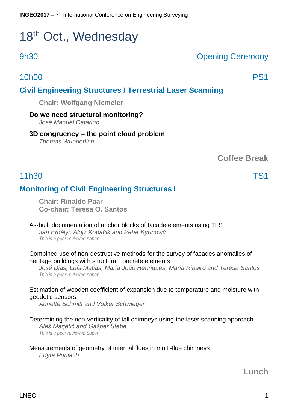# 18<sup>th</sup> Oct., Wednesday

## $LNEC$  and  $\sim$  1.1  $\sim$  1.1  $\sim$  1.1  $\sim$  1.1  $\sim$  1.1  $\sim$  1.1  $\sim$  1.1  $\sim$  1.1  $\sim$  1.1  $\sim$  1.1  $\sim$  1.1  $\sim$  1.1  $\sim$  1.1  $\sim$  1.1  $\sim$  1.1  $\sim$  1.1  $\sim$  1.1  $\sim$  1.1  $\sim$  1.1  $\sim$  1.1  $\sim$  1.1  $\sim$  1.1  $\sim$  1.1  $\sim$

## 9h30 Opening Ceremony

## 10h00 PS1

## **Civil Engineering Structures / Terrestrial Laser Scanning**

**Chair: Wolfgang Niemeier** 

#### **Do we need structural monitoring?**

*José Manuel Catarino*

### **3D congruency – the point cloud problem**

*Thomas Wunderlich*

**Coffee Break**

## 11h30 TS1

## **Monitoring of Civil Engineering Structures I**

**Chair: Rinaldo Paar Co-chair: Teresa O. Santos** 

#### As-built documentation of anchor blocks of facade elements using TLS

*Ján Erdélyi, Alojz Kopáčik and Peter Kyrinovič This is a peer reviewed paper*

Combined use of non-destructive methods for the survey of facades anomalies of heritage buildings with structural concrete elements

*José Dias, Luís Matias, Maria João Henriques, Maria Ribeiro and Teresa Santos This is a peer reviewed paper*

#### Estimation of wooden coefficient of expansion due to temperature and moisture with geodetic sensors

*Annette Schmitt and Volker Schwieger* 

#### Determining the non-verticality of tall chimneys using the laser scanning approach

*Aleš Marjetič and Gašper Štebe This is a peer reviewed paper*

#### Measurements of geometry of internal flues in multi-flue chimneys

*Edyta Puniach*

## **Lunch**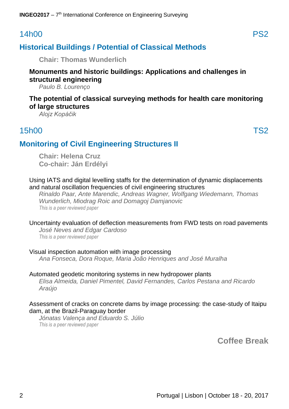## 14h00 PS2

## **Historical Buildings / Potential of Classical Methods**

**Chair: Thomas Wunderlich** 

### **Monuments and historic buildings: Applications and challenges in structural engineering**

*Paulo B. Lourenço* 

#### **The potential of classical surveying methods for health care monitoring of large structures**

*Alojz Kopáčik* 

## 15h00 TS2

## **Monitoring of Civil Engineering Structures II**

**Chair: Helena Cruz Co-chair: Ján Erdélyi** 

#### Using IATS and digital levelling staffs for the determination of dynamic displacements and natural oscillation frequencies of civil engineering structures

*Rinaldo Paar, Ante Marendic, Andreas Wagner, Wolfgang Wiedemann, Thomas Wunderlich, Miodrag Roic and Domagoj Damjanovic This is a peer reviewed paper*

#### Uncertainty evaluation of deflection measurements from FWD tests on road pavements

*José Neves and Edgar Cardoso This is a peer reviewed paper*

#### Visual inspection automation with image processing

*Ana Fonseca, Dora Roque, Maria João Henriques and José Muralha*

#### Automated geodetic monitoring systems in new hydropower plants *Elisa Almeida, Daniel Pimentel, David Fernandes, Carlos Pestana and Ricardo Araújo*

#### Assessment of cracks on concrete dams by image processing: the case-study of Itaipu dam, at the Brazil-Paraguay border

*Jónatas Valença and Eduardo S. Júlio This is a peer reviewed paper*

**Coffee Break**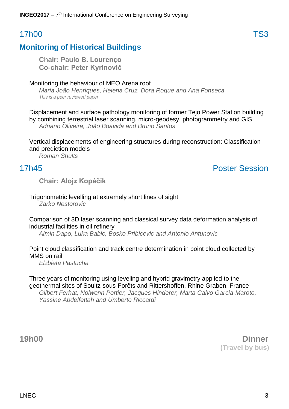## 17h00 TS3

## **Monitoring of Historical Buildings**

**Chair: Paulo B. Lourenço Co-chair: Peter Kyrinovič** 

#### Monitoring the behaviour of MEO Arena roof

*Maria João Henriques, Helena Cruz, Dora Roque and Ana Fonseca This is a peer reviewed paper*

Displacement and surface pathology monitoring of former Tejo Power Station building by combining terrestrial laser scanning, micro-geodesy, photogrammetry and GIS *Adriano Oliveira, João Boavida and Bruno Santos* 

Vertical displacements of engineering structures during reconstruction: Classification and prediction models

*Roman Shults* 

## 17h45 Poster Session

**Chair: Alojz Kopáčik** 

#### Trigonometric levelling at extremely short lines of sight

*Zarko Nestorovic* 

#### Comparison of 3D laser scanning and classical survey data deformation analysis of industrial facilities in oil refinery

*Almin Dapo, Luka Babic, Bosko Pribicevic and Antonio Antunovic* 

#### Point cloud classification and track centre determination in point cloud collected by MMS on rail

*Elzbieta Pastucha*

Three years of monitoring using leveling and hybrid gravimetry applied to the geothermal sites of Soultz-sous-Forêts and Rittershoffen, Rhine Graben, France *Gilbert Ferhat, Nolwenn Portier, Jacques Hinderer, Marta Calvo Garcia-Maroto, Yassine Abdelfettah and Umberto Riccardi*

**19h00 Dinner (Travel by bus)**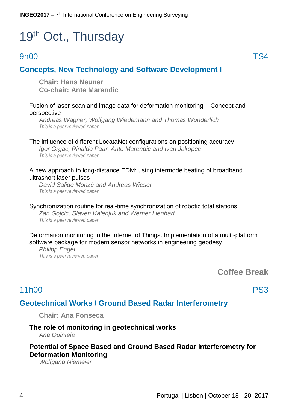# 19<sup>th</sup> Oct., Thursday

## and the set of the set of the set of the set of the set of the set of the set of the set of the set of the set of the set of the set of the set of the set of the set of the set of the set of the set of the set of the set o

## **Concepts, New Technology and Software Development I**

**Chair: Hans Neuner Co-chair: Ante Marendic** 

#### Fusion of laser-scan and image data for deformation monitoring – Concept and perspective

*Andreas Wagner, Wolfgang Wiedemann and Thomas Wunderlich This is a peer reviewed paper*

#### The influence of different LocataNet configurations on positioning accuracy

*Igor Grgac, Rinaldo Paar, Ante Marendic and Ivan Jakopec This is a peer reviewed paper*

#### A new approach to long-distance EDM: using intermode beating of broadband ultrashort laser pulses

*David Salido Monzú and Andreas Wieser This is a peer reviewed paper*

Synchronization routine for real-time synchronization of robotic total stations *Zan Gojcic, Slaven Kalenjuk and Werner Lienhart This is a peer reviewed paper*

Deformation monitoring in the Internet of Things. Implementation of a multi-platform software package for modern sensor networks in engineering geodesy

*Philipp Engel This is a peer reviewed paper*

**Coffee Break**

## 11h00 PS3

### **Geotechnical Works / Ground Based Radar Interferometry**

**Chair: Ana Fonseca** 

#### **The role of monitoring in geotechnical works**

*Ana Quintela* 

#### **Potential of Space Based and Ground Based Radar Interferometry for Deformation Monitoring**

*Wolfgang Niemeier*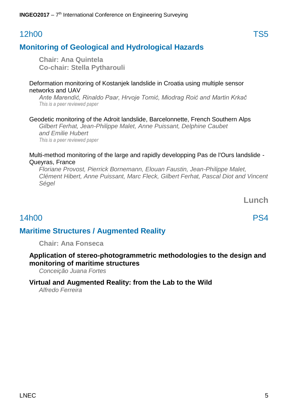$LNEC$  5

### **INGEO2017** - 7<sup>th</sup> International Conference on Engineering Surveying

## 12h00 TS5

## **Monitoring of Geological and Hydrological Hazards**

**Chair: Ana Quintela Co-chair: Stella Pytharouli** 

#### Deformation monitoring of Kostanjek landslide in Croatia using multiple sensor networks and UAV

*Ante Marendić, Rinaldo Paar, Hrvoje Tomić, Miodrag Roić and Martin Krkač This is a peer reviewed paper*

### Geodetic monitoring of the Adroit landslide, Barcelonnette, French Southern Alps

*Gilbert Ferhat, Jean-Philippe Malet, Anne Puissant, Delphine Caubet and Emilie Hubert This is a peer reviewed paper*

#### Multi-method monitoring of the large and rapidly developping Pas de l'Ours landslide - Queyras, France

*Floriane Provost, Pierrick Bornemann, Elouan Faustin, Jean-Philippe Malet, Clément Hibert, Anne Puissant, Marc Fleck, Gilbert Ferhat, Pascal Diot and Vincent Ségel*

**Lunch**

## 14h00 PS4

## **Maritime Structures / Augmented Reality**

**Chair: Ana Fonseca**

#### **Application of stereo-photogrammetric methodologies to the design and monitoring of maritime structures**

*Conceição Juana Fortes* 

## **Virtual and Augmented Reality: from the Lab to the Wild**

*Alfredo Ferreira*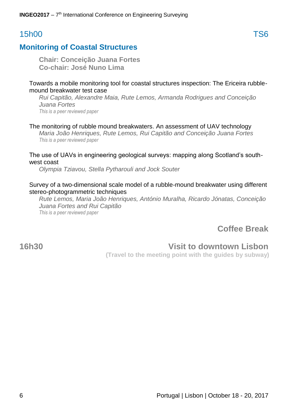**INGEO2017** - 7<sup>th</sup> International Conference on Engineering Surveying

## 15h00 TS6

## **Monitoring of Coastal Structures**

**Chair: Conceição Juana Fortes Co-chair: José Nuno Lima** 

#### Towards a mobile monitoring tool for coastal structures inspection: The Ericeira rubblemound breakwater test case

*Rui Capitão, Alexandre Maia, Rute Lemos, Armanda Rodrigues and Conceição Juana Fortes This is a peer reviewed paper*

#### The monitoring of rubble mound breakwaters. An assessment of UAV technology

*Maria João Henriques, Rute Lemos, Rui Capitão and Conceição Juana Fortes This is a peer reviewed paper*

#### The use of UAVs in engineering geological surveys: mapping along Scotland's southwest coast

*Olympia Tziavou, Stella Pytharouli and Jock Souter* 

#### Survey of a two-dimensional scale model of a rubble-mound breakwater using different stereo-photogrammetric techniques

*Rute Lemos, Maria João Henriques, António Muralha, Ricardo Jónatas, Conceição Juana Fortes and Rui Capitão This is a peer reviewed paper*

**Coffee Break**

## **16h30 Visit to downtown Lisbon**

**(Travel to the meeting point with the guides by subway)**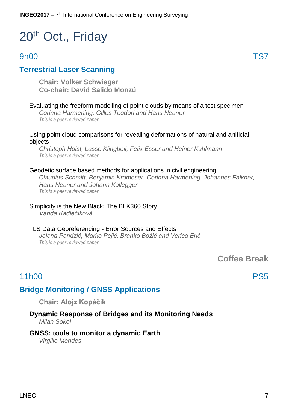# 20<sup>th</sup> Oct., Friday

## 9h00 TS7

## **Terrestrial Laser Scanning**

**Chair: Volker Schwieger Co-chair: David Salido Monzú**

#### Evaluating the freeform modelling of point clouds by means of a test specimen

*Corinna Harmening, Gilles Teodori and Hans Neuner This is a peer reviewed paper*

#### Using point cloud comparisons for revealing deformations of natural and artificial objects

*Christoph Holst, Lasse Klingbeil, Felix Esser and Heiner Kuhlmann This is a peer reviewed paper*

#### Geodetic surface based methods for applications in civil engineering

*Claudius Schmitt, Benjamin Kromoser, Corinna Harmening, Johannes Falkner, Hans Neuner and Johann Kollegger This is a peer reviewed paper*

#### Simplicity is the New Black: The BLK360 Story *Vanda Kadlečíková*

#### TLS Data Georeferencing - Error Sources and Effects *Jelena Pandžić, Marko Pejić, Branko Božić and Verica Erić This is a peer reviewed paper*

**Coffee Break**

## 11h00 PS5

## **Bridge Monitoring / GNSS Applications**

**Chair: Alojz Kopáčik**

#### **Dynamic Response of Bridges and its Monitoring Needs**  *Milan Sokol*

#### **GNSS: tools to monitor a dynamic Earth**

*Virgilio Mendes*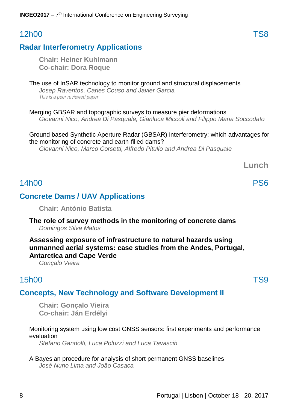## 12h00 TS8

## **Radar Interferometry Applications**

**Chair: Heiner Kuhlmann Co-chair: Dora Roque**

#### The use of InSAR technology to monitor ground and structural displacements *Josep Raventos, Carles Couso and Javier Garcia This is a peer reviewed paper*

Merging GBSAR and topographic surveys to measure pier deformations *Giovanni Nico, Andrea Di Pasquale, Gianluca Miccoli and Filippo Maria Soccodato* 

#### Ground based Synthetic Aperture Radar (GBSAR) interferometry: which advantages for the monitoring of concrete and earth-filled dams?

*Giovanni Nico, Marco Corsetti, Alfredo Pitullo and Andrea Di Pasquale* 

**Lunch**

## 14h00 PS6

## **Concrete Dams / UAV Applications**

**Chair: António Batista**

#### **The role of survey methods in the monitoring of concrete dams** *Domingos Silva Matos*

### **Assessing exposure of infrastructure to natural hazards using unmanned aerial systems: case studies from the Andes, Portugal, Antarctica and Cape Verde**

*Gonçalo Vieira* 

## 15h00 TS9

## **Concepts, New Technology and Software Development II**

**Chair: Gonçalo Vieira Co-chair: Ján Erdélyi**

#### Monitoring system using low cost GNSS sensors: first experiments and performance evaluation

*Stefano Gandolfi, Luca Poluzzi and Luca Tavascih*

A Bayesian procedure for analysis of short permanent GNSS baselines *José Nuno Lima and João Casaca*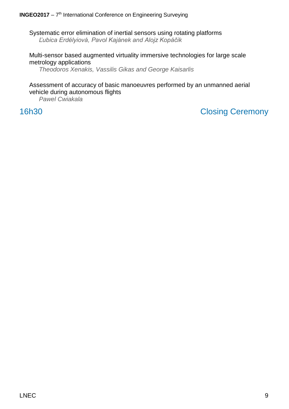Systematic error elimination of inertial sensors using rotating platforms *Ľubica Erdélyiová, Pavol Kajánek and Alojz Kopáčik* 

Multi-sensor based augmented virtuality immersive technologies for large scale metrology applications

*Theodoros Xenakis, Vassilis Gikas and George Kaisarlis* 

Assessment of accuracy of basic manoeuvres performed by an unmanned aerial vehicle during autonomous flights

*Pawel Cwiakala* 

16h30 Closing Ceremony